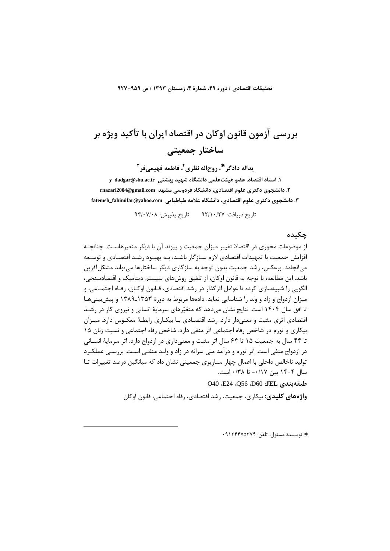تحقيقات اقتصادي / دورة ۴۹، شمارة ۴، زمستان ۱۳۹۳ / ص ۹۵۹-۹۲۷

# بررسے آزمون قانون اوکان در اقتصاد ایران با تأکید ویژه بر ساختار جمعیتے

يداله دادگر '\*، روح|له نظري ّ، فاطمه فهيمي فر " 1. استاد اقتصاد، عضو هيئت علمي دانشگاه شهيد بهشتي y\_dadgar@sbu.ac.ir ۲. دانشجوی دکتری علوم اقتصادی، دانشگاه فردوسی مشهد rnazari2004@gmail.com ۳. دانشجوی دکتری علوم اقتصادی، دانشگاه علامه طباطبایی fatemeh\_fahimifar@yahoo.com

تا, يخ د, يافت: ٩٢/١٠/٢٧ تا, يخ پذيرش: ٩٣/٠٧/٠٨

## حكىدە

از موضوعات محوری در اقتصادْ تغییر میزان جمعیت و پیوند آن با دیگر متغیرهاسـت. چنانچـه افزایش جمعیت با تمهیدات اقتصادی لازم سـازگار باشـد، بـه بهبـود رشـد اقتصـادی و توسـعه می|نجامد. برعکس، رشد جمعیت بدون توجه به سازگاری دیگر ساختارها میتواند مشکل آفرین باشد. این مطالعه، با توجه به قانون اوکان، از تلفیق روشهای سیستم دینامیک و اقتصادسنجی، الگويي را شبيهسازي كرده تا عوامل اثرگذار در رشد اقتصادي، قـانون اوكـان، رفـاه اجتمـاعي، و میزان ازدواج و زاد و ولد را شناسایی نماید. دادهها مربوط به دورهٔ ۱۳۵۳ـ۱۳۸۹ و پیش بینی هـا تا افق سال ۱۴۰۴ است. نتایج نشان میدهد که متغیّرهای سرمایهٔ انسانی و نیروی کار در رشـد اقتصادی اثری مثبت و معنی۱٫دار دارد. رشد اقتصـادی بـا بیکـاری رابطـهٔ معکـوس دارد. میـزان بیکاری و تورم در شاخص رفاه اجتماعی اثر منفی دارد. شاخص رفاه اجتماعی و نسبت زنان ۱۵ تا ۴۴ سال به جمعیت ۱۵ تا ۶۴ سال اثر مثبت و معنی داری در ازدواج دارد. اثر سرمایهٔ انسـانی در ازدواج منفی است. اثر تورم و درآمد ملی سرانه در زاد و ولـد منفـی اسـت. بررسـی عملكـرد تولید ناخالص داخلی با اعمال چهار سناریوی جمعیتی نشان داد که میانگین درصد تغییرات تـا سال ۱۴۰۴ بین ۰/۱۷– تا ۰/۳۸ است.

040 E24 ،Q56 ،D60 :JEL فليقهبندي

واژههای کلیدی: بیکاری، جمعیت، رشد اقتصادی، رفاه اجتماعی، قانون اوکان

\* نويسندة مسئول، تلفن: ٩١٢۴۴٧٥٣٧٤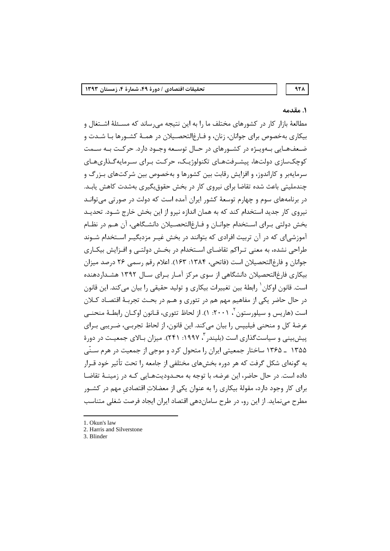# 971

# ١. مقدمه

مطالعهٔ بازار کار در کشورهای مختلف ما را به این نتیجه میرساند که مسـئلهٔ اشـتغال و بیکاری بهخصوص برای جوانان، زنان، و فـارغ|لتحصـیلان در همـهٔ کشـورها بـا شـدت و ضعفهایی بهویاژه در کشورهای در حال توسعه وجـود دارد. حرکـت بـه سـمت کوچکسازی دولتها، پیشـرفتهـای تکنولوژیـک، حرکـت بـرای سـرمایهگـذاریهـای سرمایهبر و کاراندوز، و افزایش رقابت بین کشورها و بهخصوص بین شرکتهای بـزرگ و چندملیتی باعث شده تقاضا برای نیروی کار در بخش حقوق بگیری بهشدت کاهش یابـد. در برنامههای سوم و چهارم توسعهٔ کشور ایران آمده است که دولت در صورتی می توانـد نیروی کار جدید استخدام کند که به همان اندازه نیرو از این بخش خارج شـود. تحدیـد بخش دولتی بـرای اسـتخدام جوانـان و فـارغ|لتحصـيلان دانشـگاهي، آن هـم در نظـام آموزشی|ی که در آن تربیت افرادی که بتوانند در بخش غیـر مزدبگیـر اسـتخدام شـوند طراحی نشده، به معنی تـراکم تقاضـای اسـتخدام در بخـش دولتـی و افـزایش بیکـاری جوانان و فارغ(التحصيلان است (فاتحی، ١٣٨۴: ١۶٣). اعلام رقم رسمي ٢۶ درصد ميزان بیکاری فارغ|لتحصیلان دانشگاهی از سوی مرکز آمـار بـرای سـال ۱۳۹۲ هشـداردهنده است. قانون اوکان <sup>۱</sup> رابطهٔ بین تغییرات بیکاری و تولید حقیقی را بیان می *ک*ند. این قانون در حال حاضر یکی از مفاهیم مهم هم در تئوری و هـم در بحـث تجربـهٔ اقتصـاد کـلان است (هاریس و سیلورستون <sup>۲</sup>، ۲۰۰۱: ۱). از لحاظ تئوری، قـانون اوکـان رابطـهٔ منحنــی عرضهٔ کل و منحنی فیلیپس را بیان می کند. این قانون، از لحاظ تجربے، ضـریبی بـرای پیش بینی و سیاست *گ*ذاری است (بلیندر <sup>۳</sup>، ۱۹۹۷: ۲۴۱). میزان بـالای جمعیـت در دورهٔ ۱۳۵۵ ـ ۱۳۶۵ ساختار جمعیتی ایران را متحول کرد و موجی از جمعیت در هرم سـنّی به گونهای شکل گرفت که هر دوره بخشهای مختلفی از جامعه را تحت تأثیر خود قــرار داده است. در حال حاضر، این عرضه، با توجه به محـدودیتهـایی کـه در زمینــهٔ تقاضـا برای کار وجود دارد، مقولهٔ بیکاری را به عنوان یکی از معضلات اقتصادی مهم در کشـور مطرح می نماید. از این رو، در طرح ساماندهی اقتصاد ایران ایجاد فرصت شغلی متناسب

<sup>1.</sup> Okun's law

<sup>2.</sup> Harris and Silverstone

<sup>3.</sup> Blinder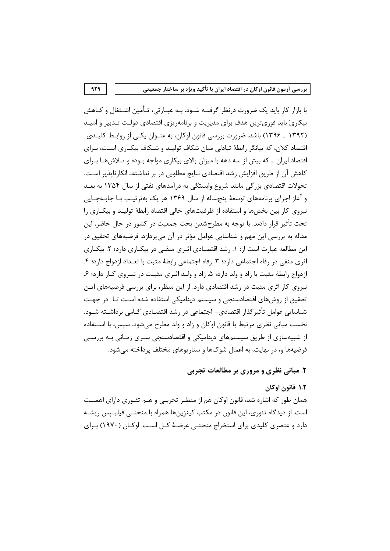با بازار کار باید یک ضرورت درنظر گرفتـه شـود. بـه عبـارتی، تـأمین اشـتغال و کـاهش بیکاریْ باید فوریترین هدف برای مدیریت و برنامهریزی اقتصادی دولت تـدبیر و امیـد (۱۳۹۲ ـ ۱۳۹۶) باشد. ضرورت بررسی قانون اوکان، به عنـوان یکـی از روابـط کلیـدی اقتصاد کلان، که بیانگر رابطهٔ تبادلی میان شکاف تولیـد و شـکاف بیکـاری اسـت، بـرای اقتصاد ایران ـ که بیش از سه دهه با میزان بالای بیکاری مواجه بـوده و تـلاشهـا بـرای كاهش آن از طريق افزايش رشد اقتصادي نتايج مطلوبي در بر نداشتهـ انكارناپذير اسـت. تحولات اقتصادی بزرگی مانند شروع وابستگی به درآمدهای نفتی از سال ۱۳۵۴ به بعـد و آغاز اجرای برنامههای توسعهٔ پنجساله از سال ۱۳۶۹ هر یک بهترتیب بـا جابـهجـایی نیروی کار بین بخشها و استفاده از ظرفیتهای خالی اقتصاد رابطهٔ تولیـد و بیکـاری را تحت تأثیر قرار دادند. با توجه به مطرحشدن بحث جمعیت در کشور در حال حاضر، این مقاله به بررسی این مهم و شناسایی عوامل مؤثر در آن میپردازد. فرضیههای تحقیق در این مطالعه عبارت است از: ١. رشد اقتصادی اثـری منفـی در بیکـاری دارد؛ ٢. بیکـاری اثري منفي در رفاه اجتماعي دارد؛ ٣. رفاه اجتماعي رابطهٔ مثبت با تعـداد ازدواج دارد؛ ۴. ازدواج رابطهٔ مثبت با زاد و ولد دارد؛ ۵. زاد و ولـد اثـری مثبـت در نیـروی کـار دارد؛ ۶. نیروی کار اثری مثبت در رشد اقتصادی دارد. از این منظر، برای بررسی فرضیههای ایــن تحقیق از روش های اقتصادسنجی و سیستم دینامیکی استفاده شده است تـا در جهـت شناسایی عوامل تأثیر گذار اقتصادی- اجتماعی در رشد اقتصـادی گــامی برداشــته شــود. نخست مبانی نظری مرتبط با قانون اوکان و زاد و ولد مطرح می شود. سپس، با اســتفاده از شبیهسازی از طریق سیستمهای دینامیکی و اقتصادسنجی سـری زمـانی بـه بررسـی فرضیهها و، در نهایت، به اعمال شوکها و سناریوهای مختلف پرداخته می شود.

# ۲. مبانی نظری و مروری بر مطالعات تجربی

١.٢. قانون اوكان همان طور که اشاره شد، قانون اوکان هم از منظـر تجربـی و هــم تئــوری دارای اهمیــت است. از دیدگاه تئوری، این قانون در مکتب کینزینها همراه با منحنــی فیلیــیس ریشــه دارد و عنصری کلیدی برای استخراج منحنبی عرضـهٔ کـل اسـت. اوکـان (۱۹۷۰) بـرای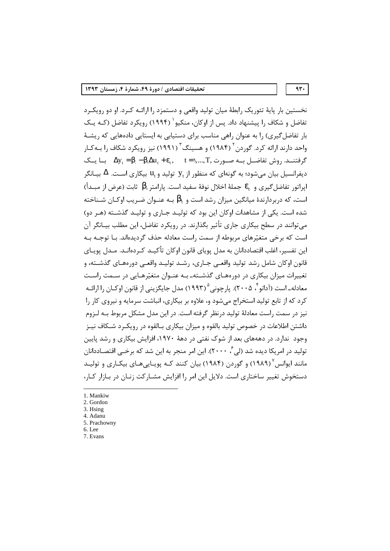نخستین بار پایهٔ تئوریک رابطهٔ میان تولید واقعی و دستمزد را ارائـه کـرد. او دو رویکـرد تفاضل و شکاف ,ا پیشنهاد داد. پس از اوکان، منکیو` (۱۹۹۴) ,ویکرد تفاضل (کـه یـک بار تفاضل گیری) را به عنوان راهی مناسب برای دستیابی به ایستایی دادههایی که ریشـهٔ واحد دارند ارائه کرد. گوردن<sup>۲</sup> (۱۹۸۴) و هسینگ<sup>۳</sup> (۱۹۹۱) نیز رویکرد شکاف را بــه *ک*ـار  $\Delta y_t = \beta_1 - \beta_2 \Delta u_t + \epsilon_t$ , t = ۱,..., T, كرفتنــد. روش تفاضــل بــه صــورت دیفرانسیل بیان می شود؛ به گونهای که منظور از  $\mathbf{y}_{\mathrm{t}}$  تولید و  $\mathbf{u}_{\mathrm{t}}$  بیکاری اسـت.  $\Delta$  بیــانگر ايراتور تفاضل گيري و  $\varepsilon_{\text{\tiny L}}$  جملهٔ اخلال نوفهٔ سفيد است. يارامتر  $\beta_{\text{\tiny L}}$  ثابت (عرض از مبـداً) است، که دربردارندهٔ میانگین میزان رشد است و  $\beta_1$  بـه عنـوان ضـریب اوکـان شـناخته  $\cdot$ شده است. یکی از مشاهدات اوکان این بود که تولیـد جـاری و تولیـد گذشـته (هـر دو) می توانند در سطح بیکاری جاری تأثیر بگذارند. در رویکرد تفاضل، این مطلب بیـانگر آن است که برخی متغیّرهای مربوطه از سمت راست معادله حذف گردیدهاند. بـا توجـه بـه این تفسیر، اغلب اقتصاددانان به مدل یوپای قانون اوکان تأکیـد کـردهانـد. مـدل یوپـای قانون اوکان شامل رشد تولید واقعے جـاری، رشـد تولیـد واقعـی دورەهـای گذشـته، و تغییرات میزان بیکاری در دورههـای گذشـتهـ بـه عنـوان متغیّرهـایی در سـمت راسـت معادلهـ است (آدانو <sup>۲</sup>، ۲۰۰۵). پارچونی °(۱۹۹۳) مدل جایگزینی از قانون اوکـان را ارائـه کرد که از تابع تولید استخراج می شود و، علاوه بر بیکاری، انباشت سرمایه و نیروی کار را نیز در سمت راست معادلهٔ تولید درنظر گرفته است. در این مدل مشکل مربوط بـه لـزوم داشتن اطلاعات در خصوص تولید بالقوه و میزان بیکاری بـالقوه در رویکـرد شـکاف نیـز وجود ندارد. در دهههای بعد از شوک نفتی در دههٔ ۱۹۷۰، افزایش بیکاری و رشد پایین تولید در امریکا دیده شد (لی ٔ، ۲۰۰۰). این امر منجر به این شد که برخــی اقتصـاددانان مانند ایوانس ۱۹۸۹) و گوردن (۱۹۸۴) بیان کنند کـه پویـایی،هـای بیکـاری و تولیـد دستخوش تغییر ساختاری است. دلایل این امر را افزایش مشـارکت زنـان در بـازار کـار،

 $4r.$ 

1. Mankiw

- 2. Gordon
- 3. Hsing
- 4. Adanu 5. Prachowny
- 6. Lee
- 7. Evans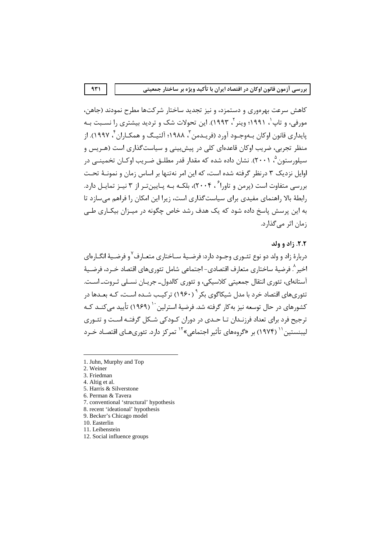کاهش سرعت بهرهوری و دستمزد، و نیز تجدید ساختار شرکتها مطرح نمودند (جاهن، مورفی، و تاپ'، ۱۹۹۱؛ وینر<sup>۲</sup>، ۱۹۹۳). این تحولات شک و تردید بیشتری را نسـبت بـه پایداری قانون اوکان بـهوجـود آورد (فریـدمن ّ، ۱۹۸۸؛ آلتیـگ و همکـا,ان ً ، ۱۹۹۷). ا; منظر تجربی، ضریب اوکان قاعدهای کلی در پیش بینی و سیاست گذاری است (هـریس و سیلورستون °، ۲۰۰۱). نشان داده شده که مقدار قدر مطلــق ضـریب اوکــان تخمینــی در اوایل نزدیک ۳ درنظر گرفته شده است، که این امر نهتنها بر اساس زمان و نمونـهٔ تحـت بررسی متفاوت است (پرمن و تاورا<sup>۶</sup> ، ۲۰۰۴)، بل*کـه* بـه پـایینتـر از ۳ نیـز تمایـل دارد. رابطهٔ بالا راهنمای مفیدی برای سیاستگذاری است، زیرا این امکان را فراهم می سازد تا به این پرسش پاسخ داده شود که یک هدف رشد خاص چگونه در میـزان بیکـاری طـی زمان اثر می گذارد.

## ٢.٢. زاد و ولد

دربارهٔ زاد و ولد دو نوع تئــوري وجــود دارد: فرضــيهٔ ســاختاري متعــارف<sup>٧</sup>و فرضــيهٔ انگــارهاي اخير ^. فرضيهٔ ساختاري متعارف اقتصادي- اجتماعي شامل تئوريهاي اقتصاد خــرد، فرضــيهٔ آستانهای، تئوری انتقال جمعیتی کلاسیکی، و تئوری کالدول۔ جریـان نسـلی ثـروت۔ اسـت. تئوریهای اقتصاد خرد با مدل شیکاگوی بکر <sup>۹</sup> (۱۹۶۰) ترکیـب شــده اسـت، کــه ب**ع**ــدها در کشورهای در حال توسعه نیز بهکار گرفته شد. فرضیهٔ استرلین <sup>۱۰</sup> (۱۹۶۹) تأیید می *کنـد کـ*ه ترجیح فرد برای تعداد فرزنـدان تـا حـدی در دوران کـودکی شـکل گرفتـه اسـت و تئـوری ليبنستين'<sup>' (</sup> (١٩٧۴) بر «گروههاي تأثير اجتماعي»<sup>١٢</sup> تمركز دارد. تئوريهـاي اقتصـاد خـرد

- 1. Juhn, Murphy and Top
- 2. Weiner

- 3. Friedman
- 4. Altig et al.
- 5. Harris & Silverstone
- 6. Perman & Tavera
- 7. conventional 'structural' hypothesis
- 8. recent 'ideational' hypothesis
- 9. Becker's Chicago model
- 10. Easterlin
- 11. Leibenstein
- 12. Social influence groups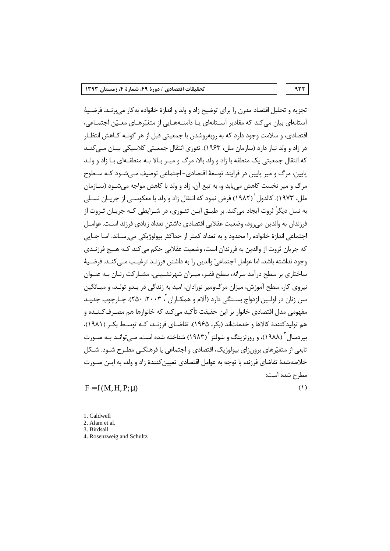937

تجزيه و تحليل اقتصاد مدرن را براي توضيح زاد و ولد و اندازهٔ خانواده به كار ميبرنـد. فرضـيهٔ آستانهای بیان می کند که مقادیر آسـتانهای یـا دامنـههـایی از متغیّرهـای معـیّن اجتمـاعی، اقتصادی، و سلامت وجود دارد که به روبهروشدن با جمعیتی قبل از هر گونــه کــاهش انتظــار در زاد و ولد نیاز دارد (سازمان ملل، ۱۹۶۳). تئوری انتقال جمعیتی کلاسیکی پیان میے کنید که انتقال جمعیتی یک منطقه با زاد و ولد بالا، مرگ و میـر بـالا بـه منطقـهای بـا زاد و ولـد پايين، مرگ و مير پايين در فرايند توسعۀ اقتصادي-اجتماعي توصيف مـي شـود کـه سـطوح مرگ و میر نخست کاهش مییابد و، به تبع آن، زاد و ولد با کاهش مواجه میشــود (ســازمان ملل، ۱۹۷۳). کالدول ۲۹۸۲) فرض نمود که انتقال زاد و ولد با معکوســی از جریــان نســلی به نسل دیگرْ ثروت ایجاد می کند. بر طبــق ایــن تئــوری، در شــرایطی کــه جریــان ثــروت از فرزندان به والدین می رود، وضعیت عقلایی اقتصادی داشتن تعداد زیادی فرزند است. عوامـل اجتماعي اندازهٔ خانواده را محدود و به تعداد کمتر از حداکثر بیولوژیکی می رسـاند. امــا جــایی که جریان ثروت از والدین به فرزندان است، وضعیت عقلایی حکم می کند کــه هــیچ فرزنــدی وجود نداشته باشد، اما عوامل اجتماعيْ والدين را به داشتن فرزنـد ترغيـب مـي كنـد. فرضـيهٔ ساختاری بر سطح درآمد سرانه، سطح فقـر، میـزان شهرنشـینی، مشـارکت زنـان بـه عنـوان نیروی کار، سطح آموزش، میزان مرگ0ومیر نوزادان، امید به زندگی در بـدو تولـد، و میـانگین سن زنان در اولــبن ازدواج بســتگے دارد (آلام و همکــاران <sup>۲</sup>، ۲۰۰۳: ۲۵۰). چــارچوب جدبـد مفهومی مدل اقتصادی خانوار بر این حقیقت تأکید می کند که خانوارها هم مصـرف<code>کننـده</code> و هم تولیدکنندهٔ کالاها و خدماتاند (بکر، ۱۹۶۵). تقاضـای فرزنـد، کـه توسـط بکـر (۱۹۸۱)، بیردسال ۱۹۸۸)، و روزنزینگ و شولتز ۱۹۸۳) شناخته شده است، مـیتوانـد بـه صـورت تابعے از متغیّرهای برون;ای بیولوژیک، اقتصادی و اجتماعی یا فرهنگـی مطـرح شـود. شـکل خلاصهشدهٔ تقاضای فرزند، با توجه به عوامل اقتصادی تعیین کنندهٔ زاد و ولد، به ایـن صـورت مطرح شده است:

 $F = f(M, H, P; \mu)$ 

 $(1)$ 

<sup>1.</sup> Caldwell

<sup>2.</sup> Alam et al. 3. Birdsall

<sup>4.</sup> Rosenzweig and Schultz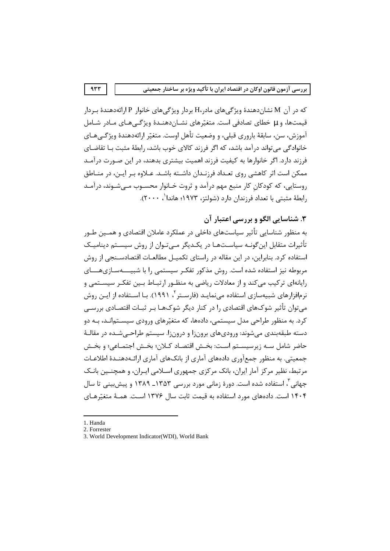که در آن M نشاندهندهٔ ویژگی های مادر،H بردار ویژگیهای خانوار P ارائهدهندهٔ بـردار قیمتها، و µ خطای تصادفی است. متغیّرهای نشــاندهنــدهٔ ویژگــیهـای مــادر شــامل آموزش، سن، سابقهٔ باروری قبلی، و وضعیت تأهل اوست. متغیّر ارائهدهندهٔ ویژگـیهـای خانوادگی می تواند درآمد باشد، که اگر فرزند کالای خوب باشد، ,ابطهٔ مثبت بـا تقاضـای فرزند دارد. اگر خانوارها به کیفیت فرزند اهمیت بیشتری بدهند، در این صـورت درآمـد ممکن است اثر کاهشی روی تعـداد فرزنـدان داشـته باشـد. عـلاوه بـر ایـن، در منـاطق روستایی، که کودکان کار منبع مهم درآمد و ثروت خـانوار محسـوب مـیشـوند، درآمـد رابطهٔ مثبتی با تعداد فرزندان دارد (شولتز، ۱۹۷۳؛ هاندا<sup>۱</sup>، ۲۰۰۰).

۳. شناسایی الگو و پررسی اعتبار آن

به منظور شناسایی تأثیر سیاستهای داخلی در عملکرد عاملان اقتصادی و همـین طـور تأثیرات متقابل اینگونـه سیاسـتهـا در یکـدیگر مـیتـوان از روش سیسـتم دینامیـک استفاده کرد. بنابراین، در این مقاله در راستای تکمیـل مطالعـات اقتصادسـنجی از روش مربوطه نیز استفاده شده است. روش مذکور تفکـر سیستمی را با شبیـــــهسـازیهــــای رایانهای ترکیب می کند و از معادلات ریاضی به منظـور ارتبــاط بــین تفکـر سیســتمی و نرمافزارهای شبیهسازی استفاده مے نمایـد (فارســتر <sup>۲</sup>، ۱۹۹۱). بـا اســتفاده از ایــن روش می توان تأثیر شوکـهای اقتصادی ,ا در کنار دیگر شوکـهـا بـر ثبـات اقتصـادی بررسـی کرد. به منظور طراحی مدل سیستمی، دادهها، که متغیّرهای ورودی سیسـتمانـد، بـه دو دسته طبقهبندی میشوند: ورودیهای برونزا و درونزا. سیستم طراحـیشـده در مقالـهٔ حاضر شامل سـه زيرسيسـتم اسـت: بخـش اقتصـاد كـلان؛ بخـش اجتمـاعي؛ و بخـش جمعیتی. به منظور جمعآوری دادههای آماری از بانکهای آماری ارائـهدهنـدهٔ اطلاعـات مرتبط، نظیر مرکز آمار ایران، بانک مرکزی جمهوری اسـلامی ایـران، و همچنـین بانـک جهانی ؓ ، استفاده شده است. دورهٔ زمانی مورد بررسی ۱۳۵۳\_ ۱۳۸۹ و پیش بینی تا سال ۱۴۰۴ است. دادههای مورد استفاده به قیمت ثابت سال ۱۳۷۶ اسـت. همـهٔ متغیّرهـای

<sup>1.</sup> Handa

<sup>2.</sup> Forrester

<sup>3.</sup> World Development Indicator (WDI), World Bank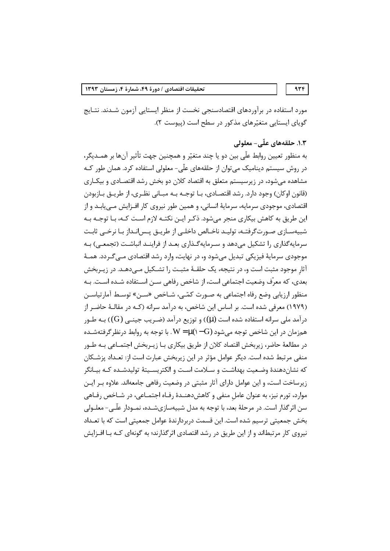934

مورد استفاده در برآوردهای اقتصادسنجی نخست از منظر ایستایی آزمون شـدند. نتـایج گویای ایستایی متغیّرهای مذکور در سطح است (پیوست ۲).

# ۱.۳. حلقههای علّی- معلولی

به منظور تعیین روابط علّی بین دو یا چند متغیّر و همچنین جهت تأثیر آنها بر همـدیگر، در روش سیستم دینامیک می توان از حلقههای علّی- معلولی استفاده کرد. همان طور کـه مشاهده میشود، در زیرسیستم متعلق به اقتصاد کلان دو بخش رشد اقتصـادی و بیکـاری (قانون اوكان) وجود دارد. رشد اقتصادي، بـا توجـه بـه مبـاني نظـري، از طريــق بـازبودن اقتصادی، موجودی سرمایه، سرمایهٔ انسانی، و همین طور نیروی کار افـزایش مـی،ابـد و از این طریق به کاهش بیکاری منجر می شود. ذکـر ایـن نکتـه لازم اسـت کـه، بـا توجـه بـه شبیهسـازی صـورت $\zeta$ رفتـه، تولیـد ناخـالص داخلـی از طریـق پـس|نـداز بـا نرخـی ثابـت سرمایهگذاری را تشکیل می دهد و سـرمایهگـذاری بعـد از فراینـد انباشـت (تجمعـی) بـه موجودی سرمایهٔ فیزیکی تبدیل می شود و، در نهایت، وارد رشد اقتصادی مـی گـردد. همـهٔ آثار موجود مثبت است و، در نتیجه، یک حلقـهٔ مثبـت را تشـکیل مـی،دهـد. در زیـربخش بعدي، كه معرّف وضعيت اجتماعي است، از شاخص رفاهي ســن اســتفاده شــده اســت. بــه منظور ارزیابی وضع رفاه اجتماعی به صـورت کمّـی، شـاخص «سـن» توسـط آمارتیاسـن (١٩٧٩) معرفي شده است. بر اساس اين شاخص، به درآمد سرانه (کـه در مقالـهٔ حاضـر از درآمد ملی سرانه استفاده شده است (µ)) و توزیع درآمد (ضـریب جینـی (G)) بــه طــور همزمان در این شاخص توجه میشود (W = µ(۱–G. با توجه به روابط درنظر گرفتهشـده در مطالعهٔ حاضر، زیربخش اقتصاد کلان از طریق بیکاری بـا زیــربخش اجتمــاعی بــه طــور منفی مرتبط شده است. دیگر عوامل مؤثر در این زیربخش عبارت است از: تعـداد پزشـکان كه نشاندهندهٔ وضعیت بهداشـت و سـلامت اسـت و الكتریسـیتهٔ تولیدشـده كـه بیـانگر زیرساخت است، و این عوامل دارای آثار مثبتی در وضعیت رفاهی جامعهاند. علاوه بـر ایـن موارد، تورم نیز، به عنوان عامل منفی و کاهشدهنــدهٔ رفـاه اجتمــاعی، در شــاخص رفــاهی سن اثر گذار است. در مرحلهٔ بعد، با توجه به مدل شبیهسازیشـده، نمـودار علّـی- معلـولی بخش جمعیتی ترسیم شده است. این قسمت دربردارندهٔ عوامل جمعیتی است که با تعـداد نیروی کار مرتبطاند و از این طریق در رشد اقتصادی اثرگذارند؛ به گونهای کـه بـا افـزایش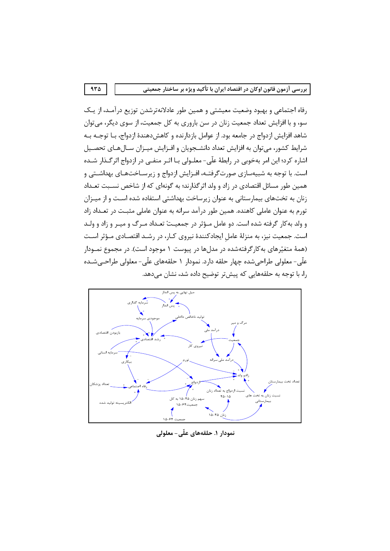رفاه اجتماعی و بهبود وضعیت معیشتی و همین طور عادلانهترشدن توزیع درآمـد، از یـک سو، و با افزایش تعداد جمعیت زنان در سن باروری به کل جمعیت، از سوی دیگر، میتوان شاهد افزایش ازدواج در جامعه بود. از عوامل بازدارنده و کاهشدهندهٔ ازدواج، بـا توجـه بـه شرایط کشور، میتوان به افزایش تعداد دانشجویان و افـزایش میـزان سـالهـای تحصـیل اشاره کرد؛ این امر بهخوبی در رابطهٔ علّی- معلـولی بـا اثـر منفـی در ازدواج اثر گـذار شـده است. با توجه به شبیهسازی صورتگرفتـه، افـزایش ازدواج و زیرسـاختـهـای بهداشـتی و همین طور مسائل اقتصادی در زاد و ولد اثر گذارند؛ به گونهای که از شاخص نسـبت تعـداد زنان به تختهای بیمارستانی به عنوان زیرساخت بهداشتی استفاده شده است و از میـزان تورم به عنوان عاملی کاهنده. همین طور درآمد سرانه به عنوان عاملی مثبت در تعـداد زاد و ولد به كار گرفته شده است. دو عامل مـؤثر در جمعيـتْ تعـداد مـرگ و ميـر و زاد و ولـد است. جمعیت نیز، به منزلهٔ عاملِ ایجادکنندهٔ نیروی کـار، در رشـد اقتصـادی مـؤثر اسـت (همهٔ متغیّرهای به کارگرفتهشده در مدلها در پیوست ۱ موجود است). در مجموع نمـودار علّی- معلولی طراحیشده چهار حلقه دارد. نمودار ۱ حلقههای علّی- معلولی طراحـیشـده را، با توجه به حلقههایی که پیشتر توضیح داده شد، نشان میدهد.



نمودار ۱. حلقههای علّی- معلولی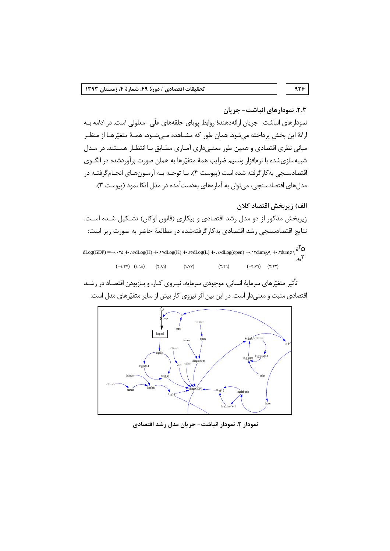۹۳۶

٢.٣. نمودارهاي انباشت– جريان

نمودارهای انباشت- جریان ارائهدهندهٔ روابط پویای حلقههای علّی- معلولی است. در ادامه بـه ارائهٔ این بخش پرداخته میشود. همان طور که مشـاهده مـیشـود، همـهٔ متغیّرهـا از منظـر مبانی نظری اقتصادی و همین طور معنـیداری آمـاری مطـابق بـا انتظـار هسـتند. در مـدل شبیهسازیشده با نرمافزار ونسیم ضرایب همهٔ متغیّرها به همان صورت برآوردشده در الگـوی اقتصادسنجي به كارگرفته شده است (پيوست ۴). بـا توجـه بـه آزمـونهـاي انجـامگرفتـه در مدلهای اقتصادسنجی، میتوان به آمارههای بهدستآمده در مدل اتکا نمود (پیوست ۳).

الف) زيربخش اقتصاد كلان

زیربخش مذکور از دو مدل رشد اقتصادی و بیکاری (قانون اوکان) تشـکیل شـده اسـت. نتایج اقتصادسنجی رشد اقتصادی به کار گرفتهشده در مطالعهٔ حاضر به صورت زیر است:

 $dLog(GDP) = -\cdots r\Delta + \cdots r\Delta Log(H) + \cdots r\Delta Log(K) + \cdots r\Delta Log(L) + \cdots r\Delta Log(open) - \cdots r\Delta arg + \cdots r\Delta arg(GDP)$  $(-1.7V)$   $(1.9A)$   $(7.A)$  $(Y.YY)$  $(Y,\mathfrak{k}\mathfrak{q})$  $(-7.79)$   $(7.77)$ 

تأثیر متغیّرهای سرمایهٔ انسانی، موجودی سرمایه، نیـروی کـار، و بـازبودن اقتصـاد در رشـد اقتصادی مثبت و معنیدار است. در این بین اثر نیروی کار بیش از سایر متغیّرهای مدل است.



نمودار ٢. نمودار انباشت- جريان مدل رشد اقتصادي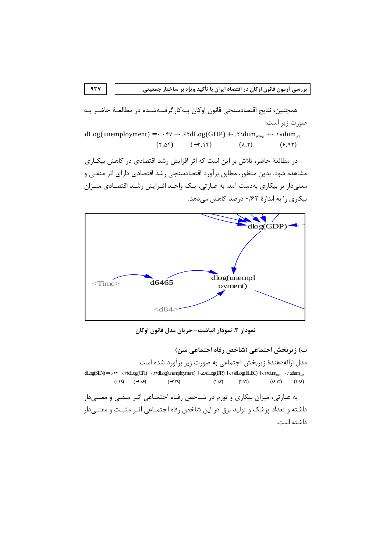همچنین، نتایج اقتصادسنجی قانون اوکان بـهکارگرفتـهشـده در مطالعـهٔ حاضـر بـه صورت زیر است:

 $dLog(unemboyment) = \dots$  fv -  $\cdot$  . fdLog(GDP) +  $\cdot$  . f  $dum_{ffsa}$  +  $\cdot$  .  $\wedge$   $dum_{hf}$  $(7.05)$  $(-7.15)$  $(\lambda, \mathbf{y})$  $(9.91)$ 

در مطالعهٔ حاضر، تلاش بر این است که اثر افزایش رشد اقتصادی در کاهش بیکـاری مشاهده شود. بدین منظور، مطابق برآورد اقتصادسنجی رشد اقتصادی دارای اثر منفـی و معنیدار بر بیکاری بهدست آمد. به عبارتی، یـک واحـد افـزایش رشـد اقتصـادی میـزان بیکاری را به اندازهٔ ۰/۶۲ درصد کاهش میدهد.



نمودار ٣. نمودار انباشت- جريان مدل قانون اوكان

ب) زیربخش اجتماعی (شاخص رفاه اجتماعی سن) مدل ارائهدهندهٔ زیربخش اجتماعی به صورت زیر برآورد شده است:  $dLog(SEN) = \cdots \text{Y} + \cdots \text{Yf}dLog(CPI) - \cdots \text{Yf}dLog(unenplogment) + \cdots \text{MdLog}(DR) + \cdots \text{NdLog}(ELFC) + \cdots \text{Yf}dm_{\text{XZY}} + \cdots \text{Nd}dm_{\text{XZY}}$  $(\cdot,\xi)$   $(-1,\xi)$  $(Y,Yf)$  $(-7.79)$  $(\lambda \Lambda)$  $(15.15)$  $(*. \mathcal{N})$ به عبارتی، میزان بیکاری و تورم در شـاخص رفـاه اجتمـاعی اثـر منفـی و معنـیدار

داشته و تعداد پزشک و تولید برق در این شاخص رفاه اجتمـاعی اثـر مثبـت و معنـیدار داشته است.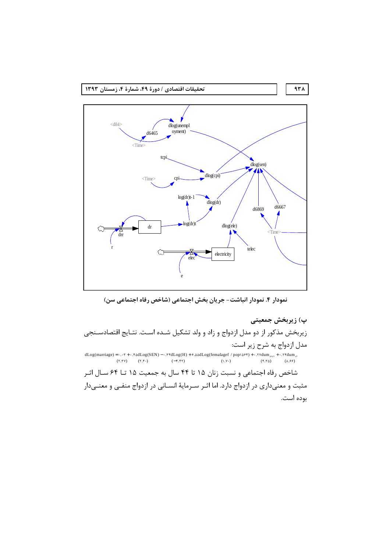

نمودار ۴. نمودار انباشت- جریان بخش اجتماعی (شاخص رفاه اجتماعی سن)

پ) زیربخش جمعیتی زیربخش مذکور از دو مدل ازدواج و زاد و ولد تشکیل شـده اسـت. نتـایج اقتصادسـنجی مدل ازدواج به شرح زیر است:  $dLog(marriage) = \ldots \tau + \ldots \tau \Delta dLog(SEN) - \ldots \tau \tau dLog(H) + \epsilon \ldots \Delta dLog(femalagef \ / pop\Delta \rho \tau) + \ldots \tau \tau dum_{\Delta \tau} + \ldots \tau \tau dum_{\Delta \tau}$  $(\mathbf{Y},\mathbf{Y}) \qquad (\mathbf{Y},\mathbf{Y} \cdot)$  $(1.1)$  $(f.\tau \Delta)$  $(\lambda .55)$  $(-f.fT)$ شاخص رفاه اجتماعی و نسبت زنان ۱۵ تا ۴۴ سال به جمعیت ۱۵ تــا ۶۴ سـال اثـر مثبت و معنیداری در ازدواج دارد. اما اثـر سـرمایهٔ انسـانی در ازدواج منفـی و معنـیدار بوده است.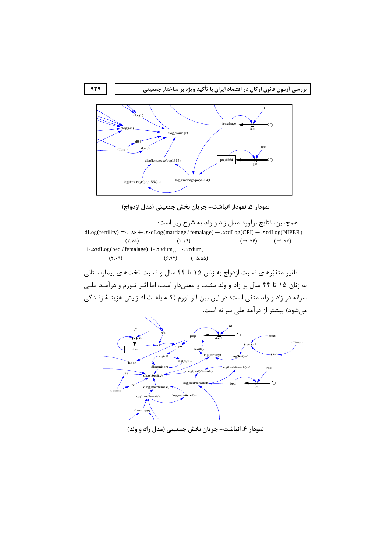



همچنین، نتایج برآورد مدل زاد و ولد به شرح زیر است:  $dLog(fertility) = \cdot \cdot \cdot \cdot \cdot + \cdot \cdot \cdot \cdot sdLog(marriage / female) - \cdot \cdot \cdot \cdot sdLog(CPI) - \cdot \cdot \cdot \cdot rdLog(NIPER)$  $(Y.Y\Delta)$  $(7.7)$  $(-\tau.\nu\tau)$  $(-1.9Y)$ + . .  $\text{AddLog}(\text{bed}/\text{female}) + \cdot \cdot \text{Y}^{\text{adum}}_{\text{A}^\text{A}} - \cdot \cdot \cdot \text{Y}^{\text{adum}}$  $(5.1)$  $(9.91)$   $(-\Delta \Delta \Delta)$ 

تأثیر متغیّرهای نسبت ازدواج به زنان ۱۵ تا ۴۴ سال و نسبت تختهای بیمارســتانی به زنان ۱۵ تا ۴۴ سال بر زاد و ولد مثبت و معنیدار است، اما اثـر تـورم و درآمـد ملـی سرانه در زاد و ولد منفی است؛ در این بین اثر تورم (کـه باعـث افـزایش هزینـهٔ زنـدگی میشود) بیشتر از درآمد ملی سرانه است.



نمودار ۶. انباشت- جریان بخش جمعیتی (مدل زاد و ولد)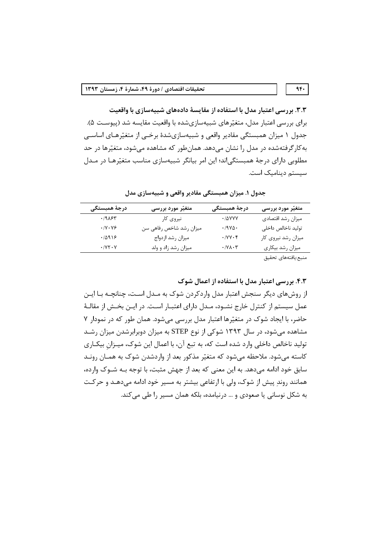۳.۳. بررسی اعتبار مدل با استفاده از مقایسهٔ دادههای شبیهسازی با واقعیت برای بررسی اعتبار مدل، متغیّرهای شبیهسازیشده با واقعیت مقایسه شد (پیوسـت ۵). جدول ۱ میزان همبستگی مقادیر واقعی و شبیهسازیشدهٔ برخـی از متغیّرهـای اساسـی به کار گرفتهشده در مدل را نشان می دهد. همانطور که مشاهده می شود، متغیّرها در حد مطلوبی دارای درجهٔ همبستگیاند؛ این امر بیانگر شبیهسازی مناسب متغیّرهـا در مـدل سیستم دینامیک است.

| درجة همبستگى                   | متغیّر مورد بررسی       | درجهٔ همبستگی                                                                 | متغیّر مورد بررسی                                                                                               |
|--------------------------------|-------------------------|-------------------------------------------------------------------------------|-----------------------------------------------------------------------------------------------------------------|
| .1905                          | نیروی کار               | $\cdot$ / $\Delta$ YYY                                                        | ميزان رشد اقتصادى                                                                                               |
| $\cdot$ /Y $\cdot$ Y $\circ$   | میزان رشد شاخص رفاهی سن | $\cdot$ /9 $\gamma$ $\Delta$ .                                                | توليد ناخالص داخلى                                                                                              |
| .10919                         | ميزان رشد ازدواج        | $\cdot$ / $\vee$ $\vee$ $\cdot$ $\uparrow$                                    | میزان رشد نیروی کار                                                                                             |
| $\cdot$ / Y $\uparrow \cdot$ Y | میزان رشد زاد و ولد     | $\boldsymbol{\cdot}$ /<br>Y $\boldsymbol{\lambda}$ - $\boldsymbol{\curlyvee}$ | میزان رشد بیکاری                                                                                                |
|                                |                         |                                                                               | the contract of the contract of the contract of the contract of the contract of the contract of the contract of |

جدول ۱. میزان همبستگی مقادیر واقعی و شبیهسازی مدل

منبع:يافتههاى تحقيق

 $4F+$ 

۴.۳. بررسی اعتبار مدل با استفاده از اعمال شوک

از روشهای دیگر سنجش اعتبار مدل واردکردن شوک به مـدل اسـت، چنانچــه بــا ایــن عمل سیستم از کنترل خارج نشـود، مـدل دارای اعتبـار اسـت. در ایــن بخـش از مقالـهٔ حاضر، با ایجاد شوک در متغیّرها اعتبار مدل بررسی می شود. همان طور که در نمودار ۷ مشاهده میشود، در سال ۱۳۹۳ شوکی از نوع STEP به میزان دوبرابرشدن میزان رشـد تولید ناخالص داخلی وارد شده است که، به تبع آن، با اعمال این شوک، میـزان بیکـاری کاسته می شود. ملاحظه می شود که متغیّر مذکور بعد از واردشدن شوک به همـان رونـد سابق خود ادامه می دهد. به این معنی که بعد از جهش مثبت، با توجه بـه شـوک وارده، همانند روند پیش از شوک، ولی با ارتفاعی بیشتر به مسیر خود ادامه میدهـد و حرکـت به شکل نوسانی یا صعودی و … درنیامده، بلکه همان مسیر را طی می کند.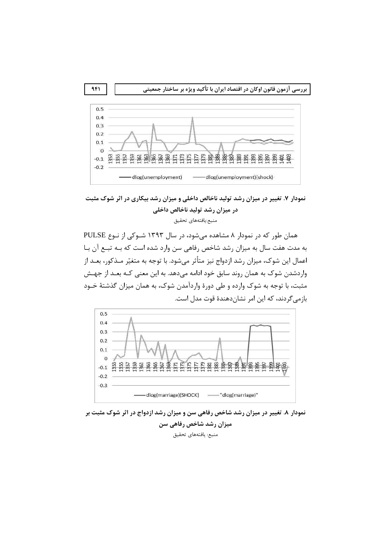

نمودار ۷. تغییر در میزان رشد تولید ناخالص داخلی و میزان رشد بیکاری در اثر شوک مثبت در میزان رشد تولید ناخالص داخلی منبع:يافتههاي تحقيق

همان طور که در نمودار ۸ مشاهده میشود، در سال ۱۳۹۳ شـوکی از نـوع PULSE به مدت هفت سال به میزان رشد شاخص رفاهی سن وارد شده است که بـه تبـع آن بـا اعمال این شوک، میزان رشد ازدواج نیز متأثر می شود. با توجه به متغیّر مـذکور، بعـد از واردشدن شوک به همان روند سابق خود ادامه میدهد. به این معنی کـه بعـد از جهـش مثبت، با توجه به شوک وارده و طی دورهٔ واردآمدن شوک، به همان میزان گذشتهٔ خـود بازمے گردند، که این امر نشان دهندهٔ قوت مدل است.



نمودار ۸. تغییر در میزان رشد شاخص رفاهی سن و میزان رشد ازدواج در اثر شوک مثبت بر میزان رشد شاخص رفاهی سن منبع: يافتههاى تحقيق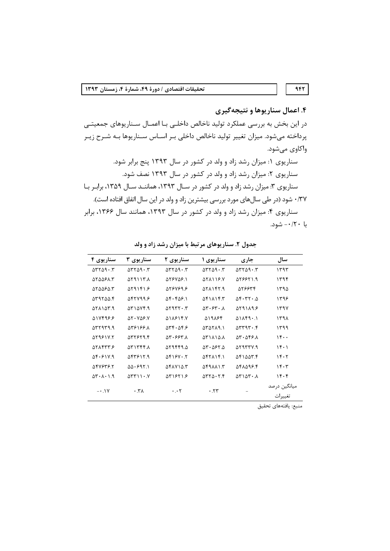۴. اعمال سناريوها و نتيجه *گ*يري در این بخش به بررسی عملکرد تولید ناخالص داخلـی بـا اعمـال سـناریوهای جمعیتـی پرداخته میشود. میزان تغییر تولید ناخالص داخلی بـر اسـاس سـناریوها بـه شـرح زیـر واكاوي ميشود. سناریوی ۱: میزان رشد زاد و ولد در کشور در سال ۱۳۹۳ پنج برابر شود. سناریوی ۲: میزان رشد زاد و ولد در کشور در سال ۱۳۹۳ نصف شود. سناریوی ۳: میزان رشد زاد و ولد در کشور در سـال ۱۳۹۳، هماننـد سـال ۱۳۵۹، برابـر بـا ۰/۳۷ شود (در طی سالهای مورد بررسی بیشترین زاد و ولد در این سال اتفاق افتاده است). سناریوی ۴: میزان رشد زاد و ولد در کشور در سال ۱۳۹۳، همانند سال ۱۳۶۶، برابر با ۲۰/۲۰- شود.

| سناريوي ۴                          | سناريوي ۳                                                         | سناريوي ۲                                                              | سناریوی ۱                                                      | جارى                                                                    | سال                     |
|------------------------------------|-------------------------------------------------------------------|------------------------------------------------------------------------|----------------------------------------------------------------|-------------------------------------------------------------------------|-------------------------|
| $\Delta r r \Delta q \cdot r$      | $\Delta \mathsf{r} \mathsf{r} \Delta \mathsf{q} \cdot \mathsf{r}$ | $\Delta r r \Delta q \cdot r$                                          | $\Delta r r \Delta q \cdot r$                                  | $\Delta r r \Delta q \cdot r$                                           | ۱۳۹۳                    |
| 575581.5                           | ۳.۸ ۱۳.۸                                                          | 578758.1                                                               | $\Delta Y \Lambda$ 19.Y                                        | 919951.9                                                                | ۱۳۹۴                    |
| ۵۲۵۵۶۵.۳                           | $\Delta$ raifi $\mathcal{S}$                                      | 916467.8                                                               | 871147.9                                                       | 576634                                                                  | ۱۳۹۵                    |
| ۵۳۹۲۵۵.۴                           | 9.17799                                                           | $\Delta$ ۴۰۴ $\Delta$ ۶.۱                                              | ۵۴۱۸۱۴.۳                                                       | $\Delta$ F $\cdot$ $\Gamma$ T $\cdot$ . $\Delta$                        | ۱۳۹۶                    |
| $\Delta Y \Delta Y \Delta Y$       | $\Delta Y \Delta V f.$                                            | $\Delta$                                                               | $\Delta \mathbf{r} \cdot \mathbf{r} \cdot \mathbf{A}$          | $\Delta$ rainae                                                         | 1494                    |
| 517498.8                           | $\Delta Y \cdot Y \Delta Y.$                                      | 518814.Y                                                               | ۵۱۹۸۶۴                                                         | $\Delta$ 1 $\Lambda$ $\uparrow$ 9 $\cdot$ . 1                           | ۱۳۹۸                    |
| $\Delta$                           | 588199.A                                                          | $\Delta \mathbf{r} \cdot \Delta \mathbf{r}$ .                          | $\Delta \Upsilon \Delta \Upsilon \Lambda$ 9.1                  | $\Delta \mathbf{r} \mathbf{r} \mathbf{q} \mathbf{r} \cdot \mathbf{r}$   | ۱۳۹۹                    |
| 579817.7                           | $\Delta \mathbf{r} \mathbf{r}$                                    | $\Delta \mathbf{r} \cdot \mathbf{S} \mathbf{S} \mathbf{r}$ . $\Lambda$ | <b>ATIAIA.A</b>                                                | $\Delta \mathbf{r} \cdot \Delta \mathbf{f} \mathbf{f} \cdot \mathbf{A}$ | 15                      |
| 9774475                            | $\Delta$ $\Gamma$ $\Gamma$ $\Gamma$ $\Gamma$ $\Lambda$            | ۵۲۹۴۴۹.۵                                                               | $\Delta \mathsf{Y} \cdot \Delta \mathsf{F} \mathsf{Y}. \Delta$ | ۹. ۱۳۳۳ ه                                                               | 15.1                    |
| $\Delta$ ۴.۶۱۷.۹                   | 187817.9                                                          | $\Delta$ FIGY.T                                                        | $\Delta$ F $\Delta$ $\Delta$ $\Delta$ $\Delta$ $\Delta$        | ۵۴۱۵۵۳.۴                                                                | 15.7                    |
| 547646.8                           | $\Delta \Delta$ . $597.1$                                         | ۵۴۸۷۱۵.۳                                                               | ۳. ۱ ۱ ۱ ۱ ۹ و                                                 | ۵۴۸۵۹۶.۴                                                                | 15.7                    |
| $\Delta Y \cdot \lambda \cdot 1.9$ | $\Delta \Upsilon \Upsilon \setminus \Upsilon$                     | $\Delta$ r $\gamma$ ۶۲۱.۶                                              | $\Delta \mathbf{r} \mathbf{r} \Delta \cdot \mathbf{r}$ .       | $\Delta$ ۳۱ $\Delta$ ۳۰. $\Lambda$                                      | ۱۴۰۴                    |
| $- \cdot \cdot \cdot$              | $\cdot$ . $\uparrow$ $\wedge$                                     | $\cdot \cdot \tau$                                                     | .77                                                            |                                                                         | ميانگين درصد<br>تغييرات |

جدول ۲. سنار یوهای مرتبط با میزان رشد زاد و ولد

منبع: يافتههاى تحقيق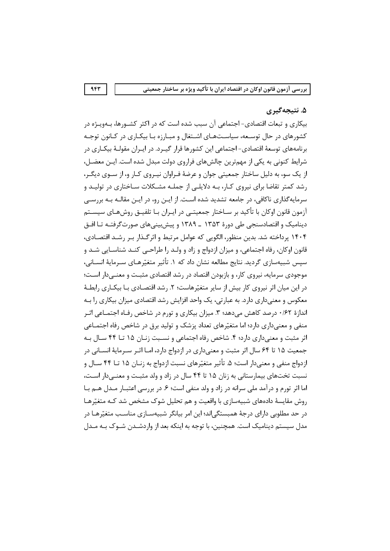#### ۵. نتيجه گيري

بیکاری و تبعات اقتصادی- اجتماعی آن سبب شده است که در اکثر کشــورها، بــهویــژه در کشورهای در حال توسعه، سیاستهای اشتغال و مبارزه با بیکاری در کانون توجـه برنامههای توسعهٔ اقتصادی- اجتماعی این کشورها قرار گیـرد. در ایـران مقولـهٔ بیکـاری در شرایط کنونی به یکی از مهمترین چالشهای فراروی دولت مبدل شده است. ایـن معضـل، از یک سو، به دلیل ساختار جمعیتی جوان و عرضهٔ فـراوان نیـروی کـار و، از سـوی دیگـر، رشد کمتر تقاضا برای نیروی کـار، بـه دلایلـی از جملـه مشـکلات سـاختاری در تولیـد و سرمایه گذاری ناکافی، در جامعه تشدید شده است. از ایــن رو، در ایــن مقالــه بــه بررســی آزمون قانون اوکان با تأکید بر سـاختار جمعیتـی در ایـران بـا تلفیــق روش@ـای سیسـتم دینامیک و اقتصادسنجی طی دورهٔ ۱۳۵۳ ـ ۱۳۸۹ و پیشبینیهای صورتگرفتـه تـا افـق ۱۴۰۴ پرداخته شد. بدین منظور، الگویی که عوامل مرتبط و اثرگـذار بـر رشـد اقتصـادی، قانون اوكان، رفاه اجتماعي، و ميزان ازدواج و زاد و ولـد را طراحـبي كنـد شناسـايي شـد و سيس شبيهسازي گرديد. نتايج مطالعه نشان داد كه ۱. تأثير متغيّرهـاي سـرمايهٔ انســاني، موجودی سرمایه، نیروی کار، و بازبودن اقتصاد در رشد اقتصادی مثبت و معنـیدار اسـت؛ در این میان اثر نیروی کار بیش از سایر متغیّرهاست؛ ۲. رشد اقتصـادی بـا بیکـاری رابطـهٔ معکوس و معنے داری دارد. به عبارتی، یک واحد افزایش رشد اقتصادی میزان بیکاری را بـه اندازهٔ ۰/۶۲ درصد کاهش میدهد؛ ۳. میزان بیکاری و تورم در شاخص رفـاه اجتمـاعی اثـر منفی و معنیداری دارد؛ اما متغیّرهای تعداد پزشک و تولید برق در شاخص رفاه اجتمــاعی اثر مثبت و معنیداری دارد؛ ۴. شاخص رفاه اجتماعی و نسـبت زنـان ۱۵ تـا ۴۴ سـال بـه جمعیت ۱۵ تا ۶۴ سال اثر مثبت و معنیداری در ازدواج دارد، امـا اثـر سـرمایهٔ انســانی در ازدواج منفي و معنىدار است؛ ۵. تأثير متغيّرهاي نسبت ازدواج به زنـان ۱۵ تــا ۴۴ ســال و نسبت تختهای بیمارستانی به زنان ۱۵ تا ۴۴ سال در زاد و ولد مثبت و معنــی دار اسـت، اما اثر تورم و درآمد ملی سرانه در زاد و ولد منفی است؛ ۶. در بررسی اعتبـار مـدل هـم بـا روش مقایسهٔ دادههای شبیهسازی با واقعیت و هم تحلیل شوک مشخص شد کـه متغیّرهـا در حد مطلوبی دارای درجهٔ همبستگی|ند؛ این امر بیانگر شبیهسـازی مناسـب متغیّرهـا در مدل سیستم دینامیک است. همچنین، با توجه به اینکه بعد از واردشـدن شـوک بـه مـدل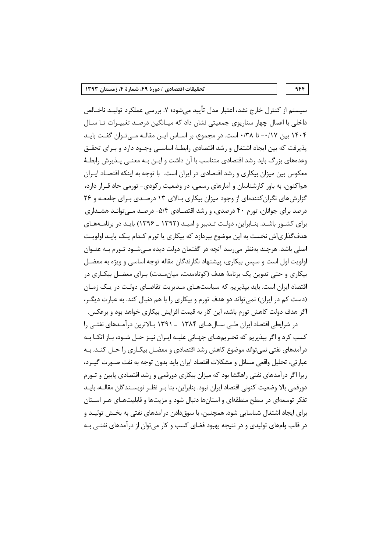سیستم از کنترل خارج نشد، اعتبار مدل تأیید میشود؛ ۷. بررسی عملکرد تولیــد ناخــالص داخلی با اعمال چهار سناریوی جمعیتی نشان داد که میـانگین درصـد تغییـرات تـا سـال ۱۴۰۴ بین ۰/۱۷- تا ۰/۳۸ است. در مجموع، بر اسـاس ایـن مقالـه مـیتوان گفـت بایـد پذیرفت که بین ایجاد اشتغال و رشد اقتصادی رابطـهٔ اساسـبی وجـود دارد و بـرای تحقـق وعدههای بزرگ باید رشد اقتصادی متناسب با آن داشت و ایـن بـه معنــی پـذیرش رابطـهٔ معکوس بین میزان بیکاری و رشد اقتصادی در ایران است. با توجه به اینکه اقتصـاد ایـران هماکنون، به باور کارشناسان و آمارهای رسمی، در وضعیت رکودی- تورمی حاد قـرار دارد، گزارش های نگران کنندهای از وجود میزان بیکاری بـالای ۱۳ درصـدی بـرای جامعـه و ۲۶ درصد برای جوانان، تورم ۴۰ درصدی، و رشد اقتصـادی ۵/۴- درصـد مـی توانـد هشـداری برای کشـور باشـد. بنـابراین، دولـت تـدبیر و امیـد (۱۳۹۲ ـ ۱۳۹۶) بایـد در برنامـههـای هدف گذاری|ش نخست به این موضوع بیردازد که بیکاری یا تورم کـدام یـک بایـد اولویـت اصلی باشد. هرچند بهنظر می رسد آنچه در گفتمان دولت دیده مــی شــود تــورم بــه عنــوان اولويت اول است و سپس بيكارى، پيشنهاد نگارندگان مقاله توجه اساسى و ويژه به معضـل بیکاری و حتی تدوین یک برنامهٔ هدف (کوتاممدت، میانِ مدت) بـرای معضـل بیکـاری در اقتصاد ایران است. باید بیذیریم که سیاستهـای مـدیریت تقاضـای دولـت در یـک زمـان (دست کم در ایران) نمی تواند دو هدف تورم و بیکاری را با هم دنبال کند. به عبارت دیگر، اگر هدف دولت کاهش تورم باشد، این کار به قیمت افزایش بیکاری خواهد بود و برعکس.

در شرایطی اقتصاد ایران طـی ســال۱۳۸۴ ـــ ۱۳۹۱ بــالاترین درآمــدهای نفتــی را کسب کرد و اگر بپذیریم که تحـریمهـای جهـانی علیـه ایـران نیـز حـل شـود، بـاز اتکـا بـه درآمدهای نفتی نمی تواند موضوع کاهش رشد اقتصادی و معضـل بیکـاری را حـل کنــد. بـه عبارتی، تحلیل واقعی مسائل و مشکلات اقتصاد ایران باید بدون توجه به نفت صـورت گیـرد، زیرا اگر درآمدهای نفتی راهگشا بود که میزان بیکاری دورقمی و رشد اقتصادی پایین و تــورم دورقمی بالا وضعیت کنونی اقتصاد ایران نبود. بنابراین، بنا بـر نظـر نویسـندگان مقالـه، بایـد تفکر توسعهای در سطح منطقهای و استانها دنبال شود و مزیتها و قابلیتهـای هـر اسـتان برای ایجاد اشتغال شناسایی شود. همچنین، با سوق۱دادن درآمدهای نفتی به بخــش تولیــد و در قالب وامهای تولیدی و در نتیجه بهبود فضای کسب و کار می توان از درآمدهای نفتــی بــه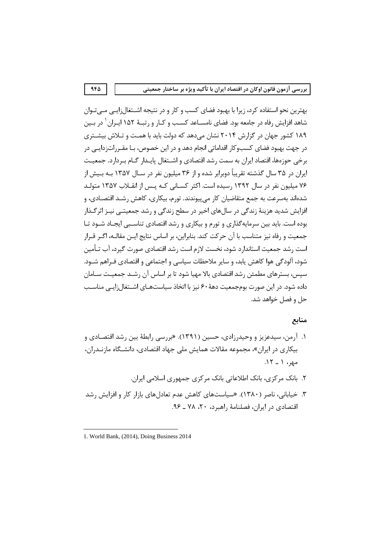بهترین نحو استفاده کرد، زیرا با بهبود فضای کسب و کار و در نتیجه اشــتغال;ایــی مــیتـوان شاهد افزایش رفاه در جامعه بود. فضای نامســاعد کســب و کــار و رتبــهٔ ۱۵۲ ایــران <sup>۱</sup> در بــین ۱۸۹ کشور جهان در گزارش ۲۰۱۴ نشان می دهد که دولت باید با همت و تـلاش بیشـتری در جهت بهبود فضای کسبوکار اقداماتی انجام دهد و در این خصوص، بـا مقـرراتزدایــی در برخی حوزهها، اقتصاد ایران به سمت رشد اقتصادی و اشـتغال پایـدار گـام بـردارد. جمعیـت ایران در ۳۵ سال گذشته تقریباً دوبرابر شده و از ۳۶ میلیون نفر در سـال ۱۳۵۷ بـه بـیش از ۷۶ میلیون نفر در سال ۱۳۹۲ رسیده است. اکثر کسـانی کـه پـس از انقـلاب ۱۳۵۷ متولـد شدهاند بهسرعت به جمع متقاضیان کار می پیوندند. تورم، بیکاری، کاهش رشـد اقتصـادی، و افزایش شدید هزینهٔ زندگی در سال های اخیر در سطح زندگی و رشد جمعیتــی نیــز اثرگــذار بوده است. باید بین سرمایهگذاری و تورم و بیکاری و رشد اقتصادی تناسـبی ایجـاد شـود تـا جمعیت و رفاه نیز متناسب با آن حرکت کند. بنابراین، بر اساس نتایج ایــن مقالــه، اگــر قــرار است , شد جمعیت استاندا, د شود، نخست لازم است , شد اقتصادی صورت گیر د، آب تــأمین شود، آلودگی هوا کاهش پابد، و سایر ملاحظات سیاسی و اجتماعی و اقتصادی فـراهم شـود. سپس، بسترهای مطمئن رشد اقتصادی بالا مهیا شود تا بر اساس آن رشـد جمعیـت ســامان داده شود. در این صورت بومجمعیت دههٔ ۶۰ نیز با اتخاذ سیاستهـای اشــتغال:ایـی مناسـب حل و فصل خواهد شد.

# منابع

- ۱. آرمن، سیدعزیز و وحیدرزادی، حسین (۱۳۹۱). «بررسی رابطهٔ بین رشد اقتصـادی و بیکاری در ایران»، مجموعه مقالات همایش ملی جهاد اقتصادی، دانشـگاه مازنـدران،  $.17 - 1.99$ 
	- ۲. بانک مرکزی، بانک اطلاعاتی بانک مرکزی جمهوری اسلامی ایران.
- ۳. خیابانی، ناصر (۱۳۸۰). «سیاستهای کاهش عدم تعادلهای بازار کار و افزایش رشد اقتصادی در ایران، فصلنامهٔ راهبرد، ۲۰، ۷۸ ـ ۹۶.

<sup>1.</sup> World Bank, (2014), Doing Business 2014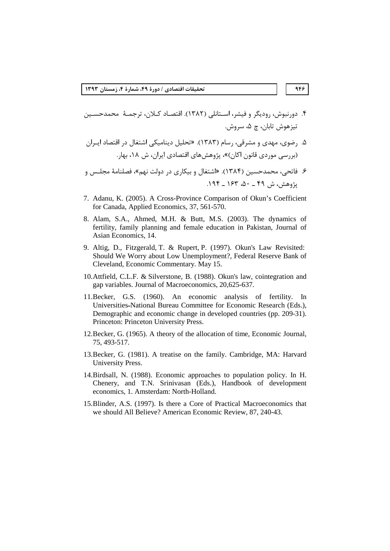- ۴. دورنبوش، رودیگر و فیشر، اسـتانلی (۱۳۸۲). اقتصـاد کــلان، ترجمـهٔ محمدحســین تيزهوش تابان، چ ۵، سروش.
- ۵. رضوی، مهدی و مشرقی، رسام (۱۳۸۳). «تحلیل دینامیکی اشتغال در اقتصاد ایـران (بررسے موردی قانون اکان)»، پژوهش های اقتصادی ایران، ش ۱۸، بھار.

- 7. Adanu, K. (2005). A Cross-Province Comparison of Okun's Coefficient for Canada, Applied Economics, 37, 561-570.
- 8. Alam, S.A., Ahmed, M.H. & Butt, M.S. (2003). The dynamics of fertility, family planning and female education in Pakistan, Journal of Asian Economics, 14.
- 9. Altig, D., Fitzgerald, T. & Rupert, P. (1997). Okun's Law Revisited: Should We Worry about Low Unemployment?, Federal Reserve Bank of Cleveland, Economic Commentary. May 15.
- 10. Attfield, C.L.F. & Silverstone, B. (1988). Okun's law, cointegration and gap variables. Journal of Macroeconomics, 20,625-637.
- 11. Becker, G.S. (1960). An economic analysis of fertility. In Universities-National Bureau Committee for Economic Research (Eds.), Demographic and economic change in developed countries (pp. 209-31). Princeton: Princeton University Press.
- 12. Becker, G. (1965). A theory of the allocation of time, Economic Journal, 75, 493-517.
- 13. Becker, G. (1981). A treatise on the family. Cambridge, MA: Harvard University Press.
- 14. Birdsall, N. (1988). Economic approaches to population policy. In H. Chenery, and T.N. Srinivasan (Eds.), Handbook of development economics, 1. Amsterdam: North-Holland.
- 15. Blinder, A.S. (1997). Is there a Core of Practical Macroeconomics that we should All Believe? American Economic Review, 87, 240-43.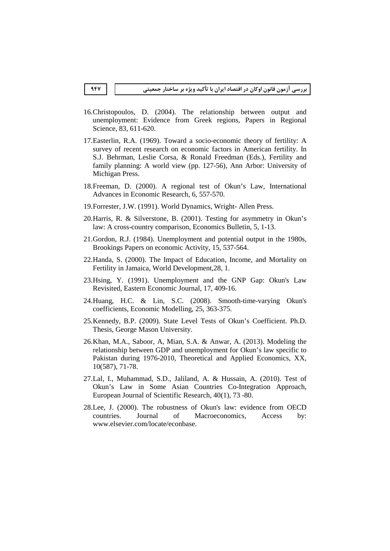- 16.Christopoulos, D. (2004). The relationship between output and unemployment: Evidence from Greek regions, Papers in Regional Science, 83, 611-620.
- 17.Easterlin, R.A. (1969). Toward a socio-economic theory of fertility: A survey of recent research on economic factors in American fertility. In S.J. Behrman, Leslie Corsa, & Ronald Freedman (Eds.), Fertility and family planning: A world view (pp. 127-56), Ann Arbor: University of Michigan Press.
- 18.Freeman, D. (2000). A regional test of Okun's Law, International Advances in Economic Research, 6, 557-570.
- 19.Forrester, J.W. (1991). World Dynamics, Wright- Allen Press.
- 20.Harris, R. & Silverstone, B. (2001). Testing for asymmetry in Okun's law: A cross-country comparison, Economics Bulletin, 5, 1-13.
- 21.Gordon, R.J. (1984). Unemployment and potential output in the 1980s, Brookings Papers on economic Activity, 15, 537-564.
- 22.Handa, S. (2000). The Impact of Education, Income, and Mortality on Fertility in Jamaica, World Development,28, 1.
- 23.Hsing, Y. (1991). Unemployment and the GNP Gap: Okun's Law Revisited, Eastern Economic Journal, 17, 409-16.
- 24.Huang, H.C. & Lin, S.C. (2008). Smooth-time-varying Okun's coefficients, Economic Modelling, 25, 363-375.
- 25.Kennedy, B.P. (2009). State Level Tests of Okun's Coefficient. Ph.D. Thesis, George Mason University.
- 26.Khan, M.A., Saboor, A, Mian, S.A. & Anwar, A. (2013). Modeling the relationship between GDP and unemployment for Okun's law specific to Pakistan during 1976-2010, Theoretical and Applied Economics, XX, 10(587), 71-78.
- 27.Lal, I., Muhammad, S.D., Jaliland, A. & Hussain, A. (2010). Test of Okun's Law in Some Asian Countries Co-Integration Approach, European Journal of Scientific Research, 40(1), 73 -80.
- 28.Lee, J. (2000). The robustness of Okun's law: evidence from OECD countries . Journal of Macroeconomics, Access by: www.elsevier.com/locate/econbase.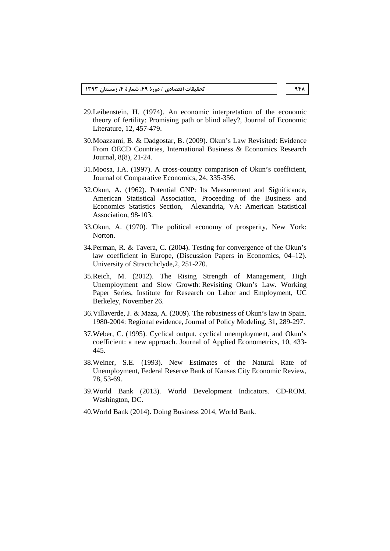- 29.Leibenstein, H. (1974). An economic interpretation of the economic theory of fertility: Promising path or blind alley?, Journal of Economic Literature, 12, 457-479.
- 30.Moazzami, B. & Dadgostar, B. (2009). Okun's Law Revisited: Evidence From OECD Countries, International Business & Economics Research Journal, 8(8), 21-24.
- 31.Moosa, I.A. (1997). A cross-country comparison of Okun's coefficient, Journal of Comparative Economics, 24, 335-356.
- 32.Okun, A. (1962). Potential GNP: Its Measurement and Significance, American Statistical Association, Proceeding of the Business and Economics Statistics Section, Alexandria, VA: American Statistical Association, 98-103.
- 33.Okun, A. (1970). The political economy of prosperity, New York: Norton.
- 34.Perman, R. & Tavera, C. (2004). Testing for convergence of the Okun's law coefficient in Europe, (Discussion Papers in Economics, 04–12). University of Stractchclyde,2, 251-270.
- 35.Reich, M. (2012). The Rising Strength of Management, High Unemployment and Slow Growth: Revisiting Okun's Law. Working Paper Series, Institute for Research on Labor and Employment, UC Berkeley, November 26.
- 36.Villaverde, J. & Maza, A. (2009). The robustness of Okun's law in Spain. 1980-2004: Regional evidence, Journal of Policy Modeling, 31, 289-297.
- 37.Weber, C. (1995). Cyclical output, cyclical unemployment, and Okun's coefficient: a new approach. Journal of Applied Econometrics, 10, 433- 445.
- 38.Weiner, S.E. (1993). New Estimates of the Natural Rate of Unemployment, Federal Reserve Bank of Kansas City Economic Review, 78, 53-69.
- 39.World Bank (2013). World Development Indicators. CD-ROM. Washington, DC.
- 40.World Bank (2014). Doing Business 2014, World Bank.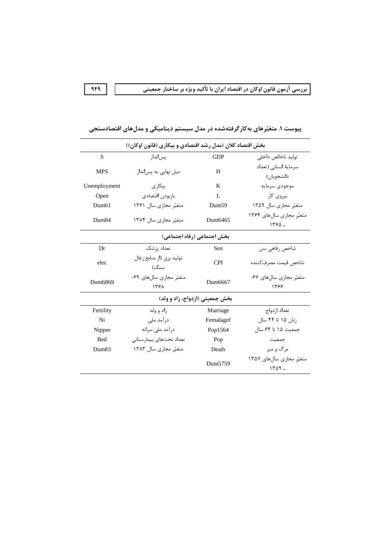| بخش اقتصاد کلان (مدل رشد اقتصادی و بیکاری (قانون اوکان)) |                                        |                     |                                      |  |  |  |
|----------------------------------------------------------|----------------------------------------|---------------------|--------------------------------------|--|--|--|
| S                                                        | یس انداز                               | <b>GDP</b>          | توليد ناخالص داخلى                   |  |  |  |
| <b>MPS</b>                                               | میل نهایی به پسانداز                   | H                   | سرمایهٔ انسانی (تعداد<br>دانشجويان)  |  |  |  |
| Unemployment                                             | بیکار ی                                | K                   | موجودى سرمايه                        |  |  |  |
| Open                                                     | بازبودن اقتصادى                        | L                   | نیروی کار                            |  |  |  |
| Dum61                                                    | متغیّر مجازی سال ۱۳۶۱                  | Dum <sub>59</sub>   | متغیّر مجازی سال ۱۳۵۹                |  |  |  |
| Dum <sub>84</sub>                                        | متغیّر مجازی سال ۱۳۸۴                  | Dum <sub>6465</sub> | متغیّر مجازی سالهای ۱۳۶۴<br>$1550 -$ |  |  |  |
|                                                          | بخش اجتماعي (رفاه اجتماعي)             |                     |                                      |  |  |  |
| Dr                                                       | تعداد پزشک                             | Sen                 | شاخص رفاهی سن                        |  |  |  |
| elec                                                     | توليد برق (از منابع زغال<br>سنگ)       | <b>CPI</b>          | شاخص قيمت مصرف كننده                 |  |  |  |
| Dum6869                                                  | متغیّر مجازی سالهای ۶۹-<br><b>1٣۶٨</b> | Dum <sub>6667</sub> | متغیّر مجازی سالهای ۶۷-<br>1398      |  |  |  |
| بخش جمعیتی (ازدواج، زاد و ولد)                           |                                        |                     |                                      |  |  |  |
| Fertility                                                | زاد و ولد                              | Marriage            | تعداد از دواج                        |  |  |  |
| Ni                                                       | درآمد ملی                              | Femalagef           | زنان ۱۵ تا ۴۴ سال                    |  |  |  |
| Nipper                                                   | درآمد ملی سرانه                        | Pop1564             | جمعیت ۱۵ تا ۶۴ سال                   |  |  |  |
| <b>Bed</b>                                               | تعداد تختهاى بيمارستانى                | Pop                 | جمعيت                                |  |  |  |
| Dum83                                                    | متغیّر مجازی سال ۱۳۸۳                  | Death               | مرگ و میر                            |  |  |  |
|                                                          |                                        | Dum5759             | متغیّر مجازی سالهای ۱۳۵۷<br>$1409 -$ |  |  |  |

پیوست ۱. متغیّرهای بهکارگرفتهشده در مدل سیستم دینامیکی و مدلهای اقتصادسنجی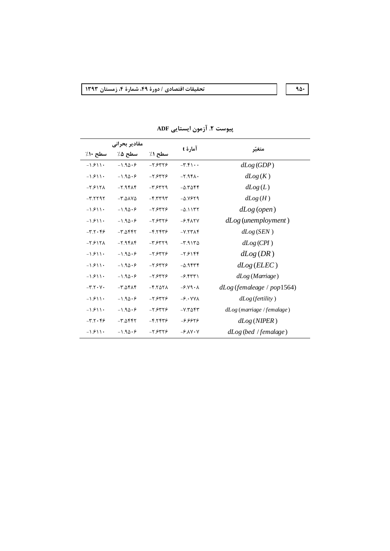#### **1393 - 4 - 49 / - 
 - 950**

|           | مقادير بحرانى          |                  |                          |                              |  |
|-----------|------------------------|------------------|--------------------------|------------------------------|--|
| سطح ۱۰٪   | سطح ۵٪                 | سطح ۱٪           | آمارۂ t                  | متغبّر                       |  |
| $-1.511$  | $-1.90.9$              | $-7.5775$        | $-T.f \rightarrow \cdot$ | dLog(GDP)                    |  |
| $-1.911$  | $-1.90.9$              | $-7.5775$        | $-7.94$                  | dLog(K)                      |  |
| $-7.517A$ | 7.98A                  | $-7.5779$        | $-0.7056$                | dLog(L)                      |  |
| $-T.7797$ | $-T.AAY0$              | $ F$ $T$ $T$ $T$ | $-\Delta .Y$ ۶۲۹         | dLog(H)                      |  |
| $-1.911$  | $-1.90.9$              | $-7.5775$        | $-0.1157$                | $dLog$ (open)                |  |
| $-1.511$  | $-1.90.9$              | $-7.5775$        | $-F.FATY$                | $dLog$ (unemployment)        |  |
| $-T.7.99$ | $-T.A$                 | $-5.557$         | $-Y.$                    | dLog(SEN)                    |  |
| $-T.517A$ | $-7.94A$               | $-T.5579$        | $-T.9170$                | dLog(CPI)                    |  |
| $-1.511$  | $-1.90.9$              | $-7.59775$       | $-7.5188$                | dLog(DR)                     |  |
| $-1.511$  | $-1.90.9$              | $-7.5775$        | $-0.9$ ۴۳۴               | dLog(ELEC)                   |  |
| $-1.511$  | $-1.90.9$              | $-7.5775$        | $-5.557$                 | dLog (Marriage)              |  |
| $-Y.7.7.$ | $-T.\Delta f \wedge f$ | $-5.507A$        | $-5.79 - A$              | $dLog$ (femaleage / pop1564) |  |
| $-1.511$  | $-1.90.9$              | $-7.5775$        | $-\epsilon \cdot YV$     | dLog(f.                      |  |
| $-1.511$  | $-1.90.9$              | $-7.5775$        | $-Y.Y\Delta$ ۴۳          | $dLog$ (marriage / femalage) |  |
| $-7.7.99$ | $-T.A$                 | $-5.557 -$       | -8.9929                  | dLog(NIPER)                  |  |
| $-1.511$  | $-1.90.9$              | $-7.5775$        | $-9.1V \cdot V$          | dLog (bed / female)          |  |

#### **پیوست ۲. آزمون ایستایی ADF**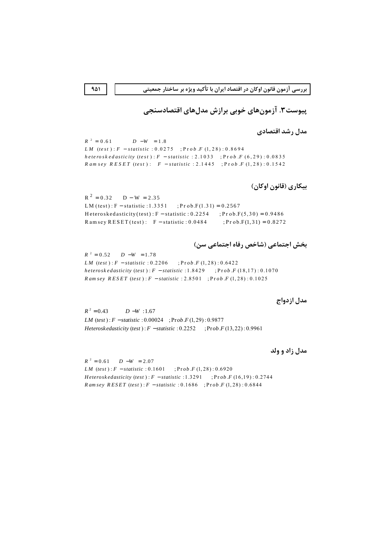پیوست۳. آزمونهای خوبی برازش مدلهای اقتصادسنجی

مدل رشد اقتصادی

 $R^2 = 0.61$  $D - W = 1.8$ *LM*  $(test): F - statistic : 0.0275 : Prob.F(1.28): 0.8694$ heteroskedasticity (test):  $F -$ statistic: 2.1033; Prob.F (6,29): 0.0835 *Ramsey RESET* (*test*):  $F - statistic : 2.1445$ ;  $Proof F(1,28) : 0.1542$ 

بیکاری (قانون اوکان)

 $R^2 = 0.32$  D – W = 2.35  $; Prob.F(1.31) = 0.2567$ LM (test):  $F -$  statistic: 1.3351 Heteroskedasticity (test) :  $F -$  statistic : 0.2254 ;  $Pr \space ob.F(5,30) = 0.9486$ Ramsey RESET(test):  $F -$  statistic: 0.0484  $; P r \circ b.F(1,31) = 0.8272$ 

بخش اجتماعی (شاخص رفاه اجتماعی سن)

 $R^2 = 0.52$   $D - W = 1.78$ *LM* (*test*):  $F - statistic$ : 0.2206 <br>:  $Prob.F(1, 28)$ : 0.6422 heteroskedasticity (test):  $F - statistic$ : 1.8429 ;  $Prob.F(18,17)$ : 0.1070 *Ramsey RESET* (*test*):  $F - statistic$ : 2.8501; Prob.  $F(1, 28)$ : 0.1025

مدل ازدواج

 $R^2 = 0.43$  $D-W$ :1.67 *LM* (test):  $F - statistic$ : 0.00024 ;  $Prob.F(1, 29)$ : 0.9877 Heteroskedasticity (test):  $F$  -statistic: 0.2252 ;  $Prob.F(13,22): 0.9961$ 

مدل زاد و ولد

 $R^2 = 0.61$   $D - W = 2.07$ *LM* (*test*):  $F - statistic$ : 0.1601;  $\frac{3.56}{1.28}$ : 0.6920 *Heteroskedasticity* (*test*):  $F - statistic$ : 1.3291; Prob.  $F(16,19)$ : 0.2744 *Ramsey RESET* (*test*):  $F - statistic$ : 0.1686; Prob.  $F(1, 28)$ : 0.6844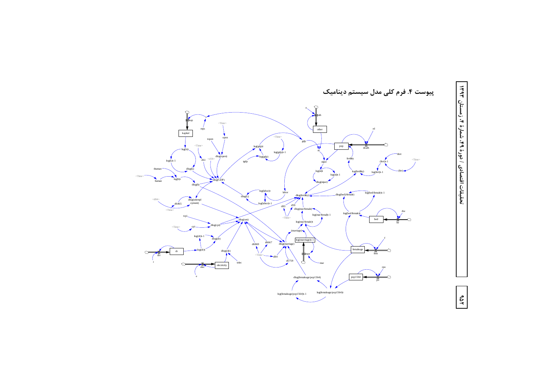

1۵۴ | | | تغضادی 47

ات اقتص

تحقيقات اقتصادي / دورة ٩٩، شمارة

، شمارهٔ ۴، زمستان .<br>.<br>.<br>.<br>. 1494 C.Linus)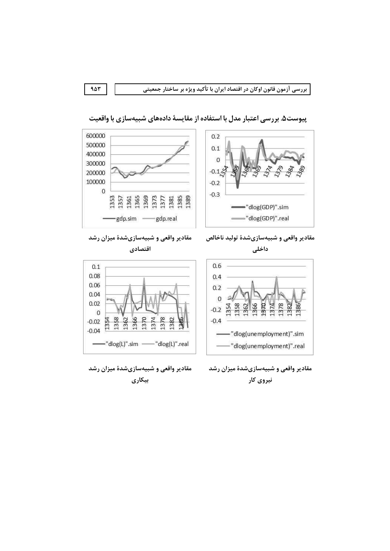$0.6$ 

 $0.4$ 

 $0.2$ 

 $\overline{0}$ 

 $-0.2\frac{55}{17}$ 

 $-0.4$ 



پیوست۵. بررسی اعتبار مدل با استفاده از مقایسهٔ دادههای شبیهسازی با واقعیت



مقادیر واقعی و شبیهسازیشدهٔ میزان رشد

مقادير واقعى و شبيهسازيشدة توليد ناخالص داخلی

1378

1374

1386

1382



مقادیر واقعی و شبیهسازیشدهٔ میزان رشد نیروی کار

1366 1370

-dlog(unemployment)".sim

-"dlog(unemployment)".real

1358

مقادیر واقعی و شبیهسازیشدهٔ میزان رشد بيكارى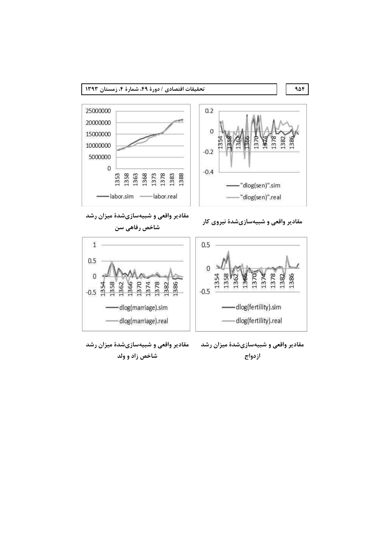

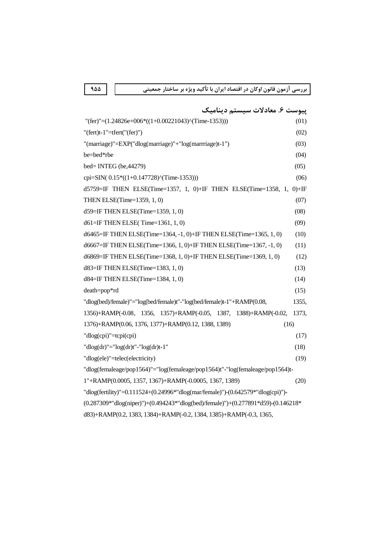**955 -/0 -1-. "# \$%& '() -# 
"&
 - 
 -(
 \*+- \*, -."#**

| پیوست ۶. معادلات سیستم دینامیک                                                                              |       |  |  |  |
|-------------------------------------------------------------------------------------------------------------|-------|--|--|--|
| "(fer)"= $(1.24826e+006*((1+0.00221043)^(Time-1353)))$                                                      | (01)  |  |  |  |
| "(fert)t-1"=tfert("(fer)")                                                                                  | (02)  |  |  |  |
| "(marriage)"=EXP("dlog(marriage)"+"log(marrriage)t-1")                                                      | (03)  |  |  |  |
| be=bed*rbe                                                                                                  | (04)  |  |  |  |
| bed=INTEG (be, 44279)                                                                                       | (05)  |  |  |  |
| cpi=SIN( $0.15*(1+0.147728)\text{'}$ (Time-1353)))                                                          | (06)  |  |  |  |
| d5759=IF THEN ELSE(Time=1357, 1, 0)+IF THEN ELSE(Time=1358, 1, 0)+IF                                        |       |  |  |  |
| THEN ELSE(Time=1359, 1, 0)                                                                                  | (07)  |  |  |  |
| d59=IF THEN ELSE(Time=1359, 1, 0)                                                                           | (08)  |  |  |  |
| d61=IF THEN ELSE(Time=1361, 1, 0)                                                                           | (09)  |  |  |  |
| d6465=IF THEN ELSE(Time=1364, -1, 0)+IF THEN ELSE(Time=1365, 1, 0)                                          | (10)  |  |  |  |
| d6667=IF THEN ELSE(Time=1366, 1, 0)+IF THEN ELSE(Time=1367, -1, 0)                                          | (11)  |  |  |  |
| d6869=IF THEN ELSE(Time=1368, 1, 0)+IF THEN ELSE(Time=1369, 1, 0)                                           | (12)  |  |  |  |
| d83=IF THEN ELSE(Time=1383, 1, 0)                                                                           | (13)  |  |  |  |
| d84=IF THEN ELSE(Time=1384, 1, 0)                                                                           | (14)  |  |  |  |
| death=pop*rd                                                                                                | (15)  |  |  |  |
| "dlog(bed)/female)"="log(bed/female)t"-"log(bed/female)t-1"+RAMP(0.08,                                      | 1355, |  |  |  |
| 1356)+RAMP(-0.08, 1356, 1357)+RAMP(-0.05, 1387, 1388)+RAMP(-0.02,                                           | 1373, |  |  |  |
| 1376)+RAMP(0.06, 1376, 1377)+RAMP(0.12, 1388, 1389)<br>(16)                                                 |       |  |  |  |
| "dlog(cpi)"=tcpi(cpi)                                                                                       | (17)  |  |  |  |
| "dlog(dr)"=" $log(dr)t$ "-" $log(dr)t-1$ "                                                                  | (18)  |  |  |  |
| "dlog(ele)"=telec(electricity)                                                                              | (19)  |  |  |  |
| "dlog(femaleage/pop1564)"="log(femaleage/pop1564)t"-"log(femaleage/pop1564)t-                               |       |  |  |  |
| 1"+RAMP(0.0005, 1357, 1367)+RAMP(-0.0005, 1367, 1389)                                                       | (20)  |  |  |  |
| "dlog(fertility)"=0.111524+(0.24996*"dlog(mar/female)")-(0.642579*"dlog(cpi)")-                             |       |  |  |  |
| $(0.287309^{*}$ "dlog(niper)")+ $(0.494243^{*}$ "dlog(bed)/female)")+ $(0.277891^{*}d59)$ - $(0.146218^{*}$ |       |  |  |  |
| d83)+RAMP(0.2, 1383, 1384)+RAMP(-0.2, 1384, 1385)+RAMP(-0.3, 1365,                                          |       |  |  |  |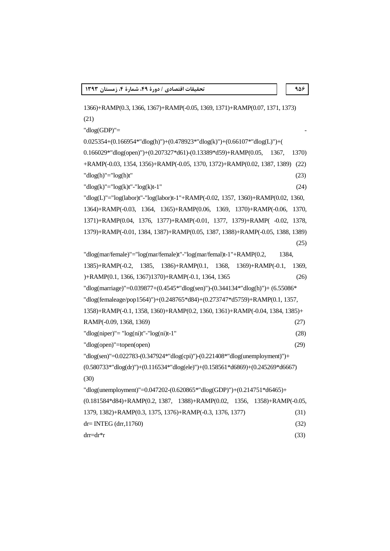```
1366)+RAMP(0.3, 1366, 1367)+RAMP(-0.05, 1369, 1371)+RAMP(0.07, 1371, 1373) 
(21) 
"dlog(GDP)"=0.025354+(0.166954^{*}"dlog(h)")+(0.478923*"dlog(k)")+(0.66107*"dlog(L)")+(
0.166029*"dlog(open)")+(0.207327*d61)-(0.13389*d59)+RAMP(0.05, 1367, 1370) 
+RAMP(-0.03, 1354, 1356)+RAMP(-0.05, 1370, 1372)+RAMP(0.02, 1387, 1389) (22) 
\text{dlog}(h) = \text{log}(h)t' (23)
\text{dlog}(k)"="log(k)t"-"log(k)t-1" (24)
"dlog(L)"="log(labor)t"-"log(labor)t-1"+RAMP(-0.02, 1357, 1360)+RAMP(0.02, 1360, 
1364)+RAMP(-0.03, 1364, 1365)+RAMP(0.06, 1369, 1370)+RAMP(-0.06, 1370, 
1371)+RAMP(0.04, 1376, 1377)+RAMP(-0.01, 1377, 1379)+RAMP( -0.02, 1378, 
1379)+RAMP(-0.01, 1384, 1387)+RAMP(0.05, 1387, 1388)+RAMP(-0.05, 1388, 1389) 
                                                               (25)
"dlog(mar/female)"="log(mar/female)t"-"log(mar/femal)t-1"+RAMP(0.2, 1384, 
1385)+RAMP(-0.2, 1385, 1386)+RAMP(0.1, 1368, 1369)+RAMP(-0.1, 1369, 
)+RAMP(0.1, 1366, 1367)1370)+RAMP(-0.1, 1364, 1365 (26)
"dlog(marriage)"=0.039877+(0.4545*"dlog(sen)")-(0.344134*"dlog(h)")+ (6.55086* 
"dlog(femaleage/pop1564)")+(0.248765*d84)+(0.273747*d5759)+RAMP(0.1, 1357, 
1358)+RAMP(-0.1, 1358, 1360)+RAMP(0.2, 1360, 1361)+RAMP(-0.04, 1384, 1385)+ 
RAMP(-0.09, 1368, 1369) (27) 
\text{''dlog(niper)} = \text{''log(nit)} - \text{''log(nit)} - \text{''} (28)
"dlog(open)"=topen(open) (29)
"dlog(sen)"=0.022783-(0.347924*"dlog(cpi)")-(0.221408*"dlog(unemployment)")+ 
(0.580733*"dlog(dr)")+(0.116534*"dlog(ele)")+(0.158561*d6869)+(0.245269*d6667) 
(30) 
"dlog(unemployment)"=0.047202-(0.620865*"dlog(GDP)")+(0.214751*d6465)+ 
(0.181584*d84)+RAMP(0.2, 1387, 1388)+RAMP(0.02, 1356, 1358)+RAMP(-0.05, 
1379, 1382)+RAMP(0.3, 1375, 1376)+RAMP(-0.3, 1376, 1377) (31) 
dr = INTEG (drr, 11760) (32)
\text{drr} = \text{dr}^*r (33)
```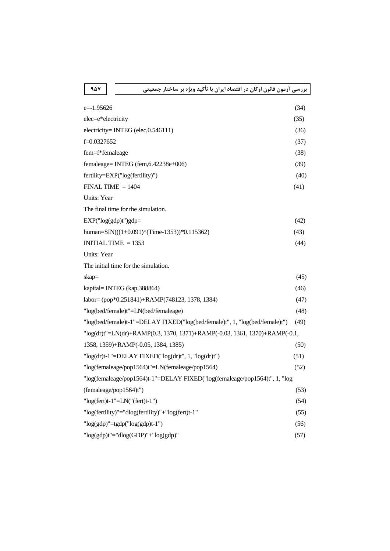| $e=1.95626$                                                                 | (34) |  |  |  |
|-----------------------------------------------------------------------------|------|--|--|--|
| elec=e*electricity                                                          | (35) |  |  |  |
| electricity= INTEG (elec, $0.546111$ )                                      | (36) |  |  |  |
| f=0.0327652                                                                 | (37) |  |  |  |
| fem=f*femaleage                                                             | (38) |  |  |  |
| femaleage= INTEG (fem,6.42238e+006)                                         | (39) |  |  |  |
| fertility=EXP("log(fertility)")                                             | (40) |  |  |  |
| $FINAL TIME = 1404$                                                         | (41) |  |  |  |
| Units: Year                                                                 |      |  |  |  |
| The final time for the simulation.                                          |      |  |  |  |
| $EXP("log(gdp)t")gdp=$                                                      | (42) |  |  |  |
| human=SIN(((1+0.091) $\text{^\text{\tiny{(}}(Time-1353))}$ *0.115362)       | (43) |  |  |  |
| INITIAL TIME $= 1353$                                                       | (44) |  |  |  |
| Units: Year                                                                 |      |  |  |  |
| The initial time for the simulation.                                        |      |  |  |  |
| skap=                                                                       | (45) |  |  |  |
| kapital= INTEG (kap,388864)                                                 | (46) |  |  |  |
| labor= (pop*0.251841)+RAMP(748123, 1378, 1384)                              | (47) |  |  |  |
| "log(bed/female)t"=LN(bed/femaleage)                                        | (48) |  |  |  |
| "log(bed/female)t-1"=DELAY FIXED("log(bed/female)t", 1, "log(bed/female)t") | (49) |  |  |  |
| "log(dr)t"=LN(dr)+RAMP(0.3, 1370, 1371)+RAMP(-0.03, 1361, 1370)+RAMP(-0.1,  |      |  |  |  |
| 1358, 1359)+RAMP(-0.05, 1384, 1385)                                         | (50) |  |  |  |
| " $log(dr)t-1$ "= $DELAY$ FIXED(" $log(dr)t$ ", 1, " $log(dr)t$ ")          | (51) |  |  |  |
| "log(femaleage/pop1564)t"=LN(femaleage/pop1564)                             | (52) |  |  |  |
| "log(femaleage/pop1564)t-1"=DELAY FIXED("log(femaleage/pop1564)t", 1, "log  |      |  |  |  |
| (femaleage/pop1564)t")                                                      | (53) |  |  |  |
| " $log(fert)t-1$ "= $LN("fert)t-1")$                                        | (54) |  |  |  |
| "log(fertility)"="dlog(fertility)"+"log(fert)t-1"                           | (55) |  |  |  |
| " $log(gdp)$ "= $tgdp$ (" $log(gdp)t-1$ ")                                  | (56) |  |  |  |
| "log(gdp)t"="dlog(GDP)"+"log(gdp)"                                          | (57) |  |  |  |
|                                                                             |      |  |  |  |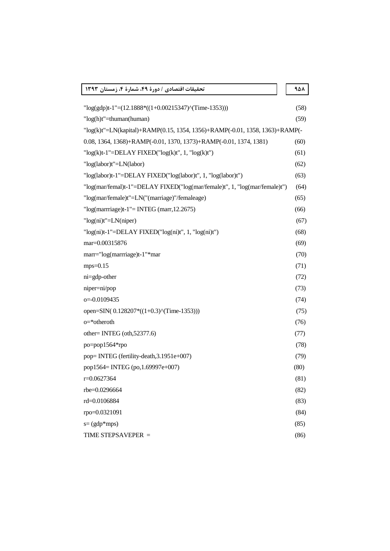| تحقيقات اقتصادي / دورة ۴۹، شمارة ۴، زمستان ۱۳۹۳                             |  | 958  |
|-----------------------------------------------------------------------------|--|------|
| $"log(gdp)t-1"=(12.1888*((1+0.00215347)^(Time-1353)))$                      |  | (58) |
| " $log(h)t$ "=thuman(human)                                                 |  | (59) |
| "log(k)t"=LN(kapital)+RAMP(0.15, 1354, 1356)+RAMP(-0.01, 1358, 1363)+RAMP(- |  |      |
| 0.08, 1364, 1368)+RAMP(-0.01, 1370, 1373)+RAMP(-0.01, 1374, 1381)           |  | (60) |
| " $log(k)t-1$ "= $DELAY$ FIXED(" $log(k)t$ ", 1, " $log(k)t$ ")             |  | (61) |
| "log(labor)t"=LN(labor)                                                     |  | (62) |
| "log(labor)t-1"=DELAY FIXED("log(labor)t", 1, "log(labor)t")                |  | (63) |
| "log(mar/femal)t-1"=DELAY FIXED("log(mar/female)t", 1, "log(mar/female)t")  |  | (64) |
| "log(mar/female)t"=LN("(marriage)"/femaleage)                               |  | (65) |
| " $log(marrriage)t-1$ " = INTEG (marr, 12.2675)                             |  | (66) |
| " $log(ni)t$ "=LN(niper)                                                    |  | (67) |
| " $log(ni)t-1$ "= $DELAY$ FIXED(" $log(ni)t$ ", 1, " $log(ni)t$ ")          |  | (68) |
| mar=0.00315876                                                              |  | (69) |
| marr="log(marrriage)t-1"*mar                                                |  | (70) |
| $mps=0.15$                                                                  |  | (71) |
| ni=gdp-other                                                                |  | (72) |
| niper=ni/pop                                                                |  | (73) |
| o=-0.0109435                                                                |  | (74) |
| open=SIN(0.128207*((1+0.3)^(Time-1353)))                                    |  | (75) |
| $o$ =*otheroth                                                              |  | (76) |
| other=INTEG $\left(\text{oth},\frac{52377.6}{\right)$                       |  | (77) |
| po=pop1564*rpo                                                              |  | (78) |
| pop=INTEG (fertility-death, 3.1951e+007)                                    |  | (79) |
| pop1564= INTEG (po,1.69997e+007)                                            |  | (80) |
| $r=0.0627364$                                                               |  | (81) |
| rbe=0.0296664                                                               |  | (82) |
| rd=0.0106884                                                                |  | (83) |
| rpo=0.0321091                                                               |  | (84) |
| $s = (gdp*mps)$                                                             |  | (85) |
| TIME STEPSAVEPER =                                                          |  | (86) |